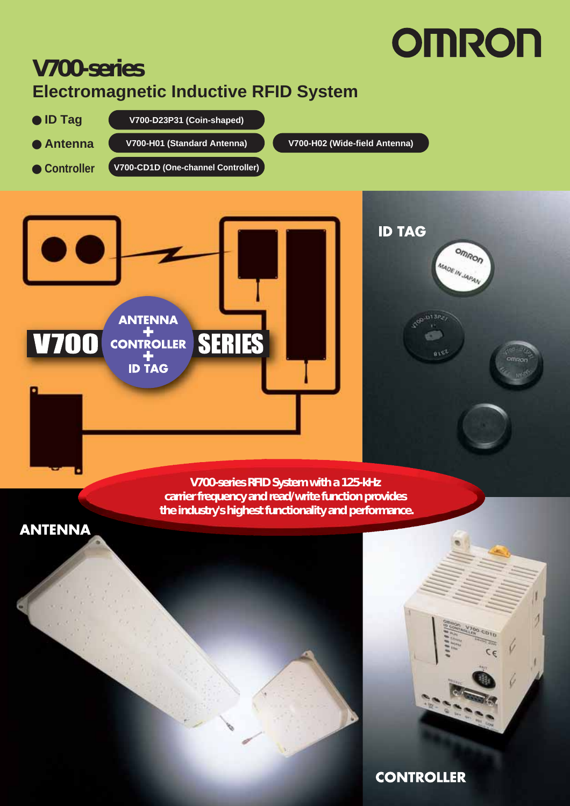### **V700-series Electromagnetic Inductive RFID System**

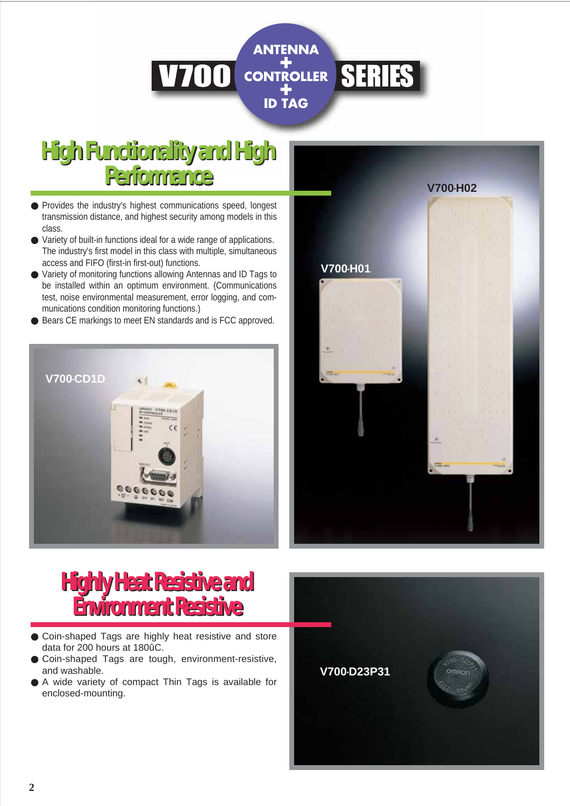

## **High Functionality and High High Functionality and High Performance Performance**

- Provides the industry's highest communications speed, longest transmission distance, and highest security among models in this class.
- Variety of built-in functions ideal for a wide range of applications. The industry's first model in this class with multiple, simultaneous access and FIFO (first-in first-out) functions.
- Variety of monitoring functions allowing Antennas and ID Tags to be installed within an optimum environment. (Communications test, noise environmental measurement, error logging, and communications condition monitoring functions.)
- Bears CE markings to meet EN standards and is FCC approved.



## **Highly Heat Resistive and Highly Heat Resistive and Environment Resistive Environment Resistive**

- Coin-shaped Tags are highly heat resistive and store data for 200 hours at 180ûC.
- Coin-shaped Tags are tough, environment-resistive, and washable.
- A wide variety of compact Thin Tags is available for enclosed-mounting.



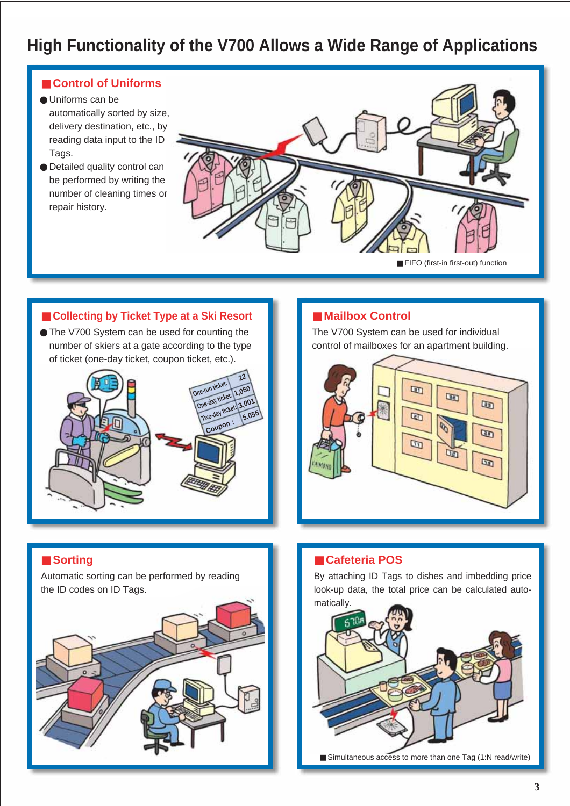### **High Functionality of the V700 Allows a Wide Range of Applications**

#### ■ **Control of Uniforms**

- Uniforms can be automatically sorted by size, delivery destination, etc., by reading data input to the ID Tags.
- Detailed quality control can be performed by writing the number of cleaning times or repair history.



### ■ Collecting by Ticket Type at a Ski Resort ■ ■ **Mailbox Control**

● The V700 System can be used for counting the number of skiers at a gate according to the type of ticket (one-day ticket, coupon ticket, etc.).



The V700 System can be used for individual control of mailboxes for an apartment building.



#### ■ **Sorting**

Automatic sorting can be performed by reading the ID codes on ID Tags.



#### ■ **Cafeteria POS**

By attaching ID Tags to dishes and imbedding price look-up data, the total price can be calculated automatically.



■ Simultaneous access to more than one Tag (1:N read/write)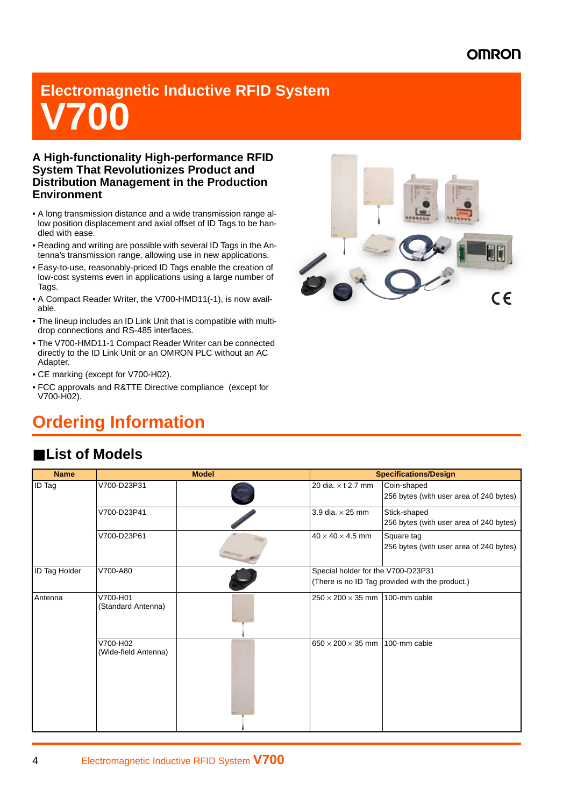## **Electromagnetic Inductive RFID System V700**

#### **A High-functionality High-performance RFID System That Revolutionizes Product and Distribution Management in the Production Environment**

- A long transmission distance and a wide transmission range allow position displacement and axial offset of ID Tags to be handled with ease.
- Reading and writing are possible with several ID Tags in the Antenna's transmission range, allowing use in new applications.
- Easy-to-use, reasonably-priced ID Tags enable the creation of low-cost systems even in applications using a large number of Tags.
- A Compact Reader Writer, the V700-HMD11(-1), is now available.
- The lineup includes an ID Link Unit that is compatible with multidrop connections and RS-485 interfaces.
- The V700-HMD11-1 Compact Reader Writer can be connected directly to the ID Link Unit or an OMRON PLC without an AC Adapter.
- CE marking (except for V700-H02).
- FCC approvals and R&TTE Directive compliance (except for V700-H02).

### **Ordering Information**



### ■ **List of Models**

| <b>Name</b>          |                                  | <b>Model</b> |                                    | <b>Specifications/Design</b>                            |
|----------------------|----------------------------------|--------------|------------------------------------|---------------------------------------------------------|
| <b>ID</b> Tag        | V700-D23P31                      |              | 20 dia. x t 2.7 mm                 | Coin-shaped<br>256 bytes (with user area of 240 bytes)  |
|                      | V700-D23P41                      |              | 3.9 dia. $\times$ 25 mm            | Stick-shaped<br>256 bytes (with user area of 240 bytes) |
|                      | V700-D23P61                      |              | $40 \times 40 \times 4.5$ mm       | Square tag<br>256 bytes (with user area of 240 bytes)   |
| <b>ID Tag Holder</b> | V700-A80                         |              | Special holder for the V700-D23P31 | (There is no ID Tag provided with the product.)         |
| Antenna              | V700-H01<br>(Standard Antenna)   |              | $250 \times 200 \times 35$ mm      | 100-mm cable                                            |
|                      | V700-H02<br>(Wide-field Antenna) |              | $650 \times 200 \times 35$ mm      | 100-mm cable                                            |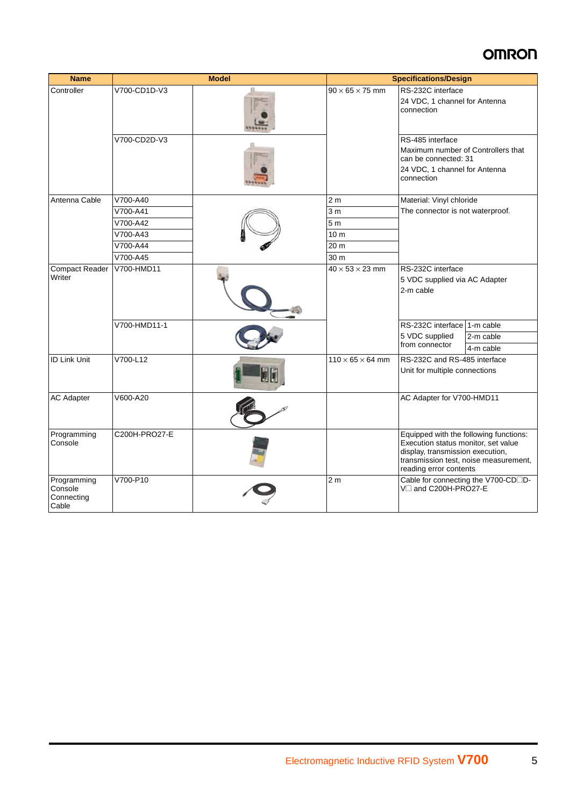| <b>Name</b>                                   |               | <b>Model</b> |                              | <b>Specifications/Design</b>                                                                                                                                                         |                                     |
|-----------------------------------------------|---------------|--------------|------------------------------|--------------------------------------------------------------------------------------------------------------------------------------------------------------------------------------|-------------------------------------|
| Controller                                    | V700-CD1D-V3  |              | $90 \times 65 \times 75$ mm  | RS-232C interface<br>24 VDC, 1 channel for Antenna<br>connection                                                                                                                     |                                     |
|                                               | V700-CD2D-V3  |              |                              | RS-485 interface<br>Maximum number of Controllers that<br>can be connected: 31<br>24 VDC, 1 channel for Antenna<br>connection                                                        |                                     |
| Antenna Cable                                 | V700-A40      |              | 2 <sub>m</sub>               | Material: Vinyl chloride                                                                                                                                                             |                                     |
|                                               | V700-A41      |              | 3 <sub>m</sub>               | The connector is not waterproof.                                                                                                                                                     |                                     |
|                                               | V700-A42      |              | 5 <sub>m</sub>               |                                                                                                                                                                                      |                                     |
|                                               | V700-A43      |              | 10 <sub>m</sub>              |                                                                                                                                                                                      |                                     |
|                                               | V700-A44      |              | 20 m                         |                                                                                                                                                                                      |                                     |
|                                               | V700-A45      |              | 30 m                         |                                                                                                                                                                                      |                                     |
| <b>Compact Reader</b><br>Writer               | V700-HMD11    |              | $40 \times 53 \times 23$ mm  | RS-232C interface<br>5 VDC supplied via AC Adapter<br>2-m cable                                                                                                                      |                                     |
|                                               | V700-HMD11-1  |              |                              | RS-232C interface 1-m cable                                                                                                                                                          |                                     |
|                                               |               |              |                              | 5 VDC supplied                                                                                                                                                                       | 2-m cable                           |
|                                               |               |              |                              | from connector                                                                                                                                                                       | 4-m cable                           |
| <b>ID Link Unit</b>                           | V700-L12      |              | $110 \times 65 \times 64$ mm | RS-232C and RS-485 interface<br>Unit for multiple connections                                                                                                                        |                                     |
| <b>AC Adapter</b>                             | V600-A20      |              |                              | AC Adapter for V700-HMD11                                                                                                                                                            |                                     |
| Programming<br>Console                        | C200H-PRO27-E |              |                              | Equipped with the following functions:<br>Execution status monitor, set value<br>display, transmission execution,<br>transmission test, noise measurement,<br>reading error contents |                                     |
| Programming<br>Console<br>Connecting<br>Cable | V700-P10      |              | 2 <sub>m</sub>               | V□ and C200H-PRO27-E                                                                                                                                                                 | Cable for connecting the V700-CD□D- |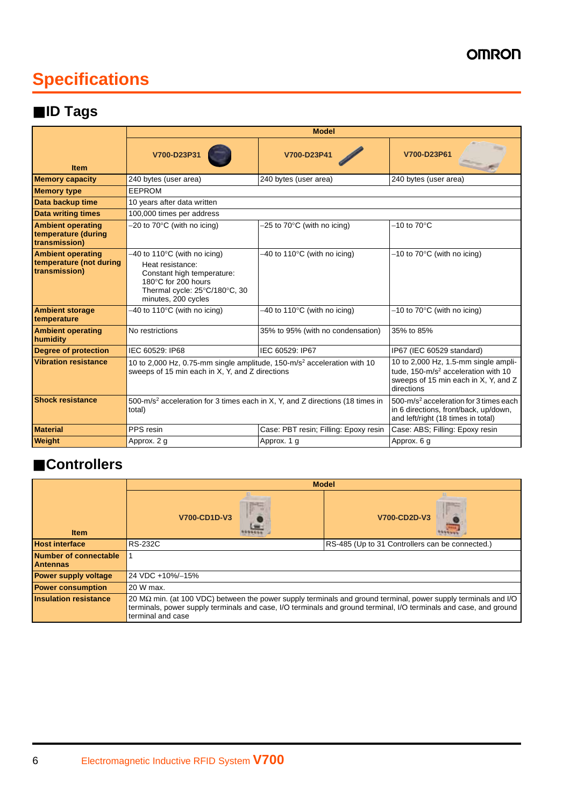## **Specifications**

### ■ **ID Tags**

|                                                                      | <b>Model</b>                                                                                                                                                              |                                          |                                                                                                                                               |
|----------------------------------------------------------------------|---------------------------------------------------------------------------------------------------------------------------------------------------------------------------|------------------------------------------|-----------------------------------------------------------------------------------------------------------------------------------------------|
| <b>Item</b>                                                          | V700-D23P31                                                                                                                                                               | V700-D23P41                              | V700-D23P61                                                                                                                                   |
| <b>Memory capacity</b>                                               | 240 bytes (user area)                                                                                                                                                     | 240 bytes (user area)                    | 240 bytes (user area)                                                                                                                         |
| <b>Memory type</b>                                                   | <b>EEPROM</b>                                                                                                                                                             |                                          |                                                                                                                                               |
| Data backup time                                                     | 10 years after data written                                                                                                                                               |                                          |                                                                                                                                               |
| <b>Data writing times</b>                                            | 100,000 times per address                                                                                                                                                 |                                          |                                                                                                                                               |
| <b>Ambient operating</b><br>temperature (during<br>transmission)     | $-20$ to $70^{\circ}$ C (with no icing)                                                                                                                                   | $-25$ to $70^{\circ}$ C (with no icing)  | $-10$ to $70^{\circ}$ C                                                                                                                       |
| <b>Ambient operating</b><br>temperature (not during<br>transmission) | $-40$ to 110 $\degree$ C (with no icing)<br>Heat resistance:<br>Constant high temperature:<br>180°C for 200 hours<br>Thermal cycle: 25°C/180°C, 30<br>minutes, 200 cycles | $-40$ to 110 $\degree$ C (with no icing) | $-10$ to 70 $\degree$ C (with no icing)                                                                                                       |
| <b>Ambient storage</b><br>temperature                                | $-40$ to 110 $\degree$ C (with no icing)                                                                                                                                  | $-40$ to 110 $\degree$ C (with no icing) | $-10$ to $70^{\circ}$ C (with no icing)                                                                                                       |
| <b>Ambient operating</b><br>humidity                                 | No restrictions                                                                                                                                                           | 35% to 95% (with no condensation)        | 35% to 85%                                                                                                                                    |
| <b>Degree of protection</b>                                          | IEC 60529: IP68                                                                                                                                                           | IEC 60529: IP67                          | IP67 (IEC 60529 standard)                                                                                                                     |
| <b>Vibration resistance</b>                                          | 10 to 2,000 Hz, 0.75-mm single amplitude, 150-m/s <sup>2</sup> acceleration with 10<br>sweeps of 15 min each in X, Y, and Z directions                                    |                                          | 10 to 2,000 Hz, 1.5-mm single ampli-<br>tude, 150-m/s <sup>2</sup> acceleration with 10<br>sweeps of 15 min each in X, Y, and Z<br>directions |
| <b>Shock resistance</b>                                              | 500-m/s <sup>2</sup> acceleration for 3 times each in X, Y, and Z directions (18 times in<br>total)                                                                       |                                          | 500-m/s <sup>2</sup> acceleration for 3 times each<br>in 6 directions, front/back, up/down,<br>and left/right (18 times in total)             |
| <b>Material</b>                                                      | PPS resin                                                                                                                                                                 | Case: PBT resin; Filling: Epoxy resin    | Case: ABS; Filling: Epoxy resin                                                                                                               |
| <b>Weight</b>                                                        | Approx. 2 g                                                                                                                                                               | Approx. 1 g                              | Approx. 6 g                                                                                                                                   |

### ■ **Controllers**

|                                          | <b>Model</b>                                                                                                                                                                                                                                             |              |  |  |
|------------------------------------------|----------------------------------------------------------------------------------------------------------------------------------------------------------------------------------------------------------------------------------------------------------|--------------|--|--|
| <b>Item</b>                              | V700-CD1D-V3                                                                                                                                                                                                                                             | V700-CD2D-V3 |  |  |
| <b>Host interface</b>                    | <b>RS-232C</b><br>RS-485 (Up to 31 Controllers can be connected.)                                                                                                                                                                                        |              |  |  |
| Number of connectable<br><b>Antennas</b> |                                                                                                                                                                                                                                                          |              |  |  |
| <b>Power supply voltage</b>              | 24 VDC +10%/-15%                                                                                                                                                                                                                                         |              |  |  |
| <b>Power consumption</b>                 | 20 W max.                                                                                                                                                                                                                                                |              |  |  |
| <b>Insulation resistance</b>             | 20 MΩ min. (at 100 VDC) between the power supply terminals and ground terminal, power supply terminals and I/O<br>terminals, power supply terminals and case, I/O terminals and ground terminal, I/O terminals and case, and ground<br>terminal and case |              |  |  |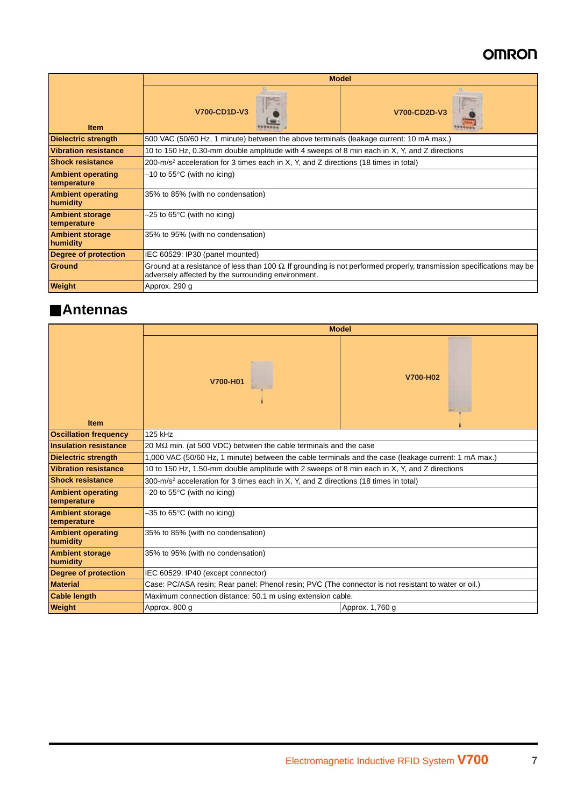|                                         | <b>Model</b>                                                                                                                                                                        |              |  |
|-----------------------------------------|-------------------------------------------------------------------------------------------------------------------------------------------------------------------------------------|--------------|--|
| <b>Item</b>                             | V700-CD1D-V3                                                                                                                                                                        | V700-CD2D-V3 |  |
| <b>Dielectric strength</b>              | 500 VAC (50/60 Hz, 1 minute) between the above terminals (leakage current: 10 mA max.)                                                                                              |              |  |
| <b>Vibration resistance</b>             | 10 to 150 Hz, 0.30-mm double amplitude with 4 sweeps of 8 min each in X, Y, and Z directions                                                                                        |              |  |
| <b>Shock resistance</b>                 | 200-m/s <sup>2</sup> acceleration for 3 times each in X, Y, and Z directions (18 times in total)                                                                                    |              |  |
| <b>Ambient operating</b><br>temperature | $-10$ to 55°C (with no icing)                                                                                                                                                       |              |  |
| <b>Ambient operating</b><br>humidity    | 35% to 85% (with no condensation)                                                                                                                                                   |              |  |
| <b>Ambient storage</b><br>temperature   | $-25$ to 65°C (with no icing)                                                                                                                                                       |              |  |
| <b>Ambient storage</b><br>humidity      | 35% to 95% (with no condensation)                                                                                                                                                   |              |  |
| Degree of protection                    | IEC 60529: IP30 (panel mounted)                                                                                                                                                     |              |  |
| Ground                                  | Ground at a resistance of less than 100 $\Omega$ . If grounding is not performed properly, transmission specifications may be<br>adversely affected by the surrounding environment. |              |  |
| <b>Weight</b>                           | Approx. 290 q                                                                                                                                                                       |              |  |

### ■ **Antennas**

|                                         | <b>Model</b>                                                                                         |          |  |
|-----------------------------------------|------------------------------------------------------------------------------------------------------|----------|--|
| <b>Item</b>                             | V700-H01                                                                                             | V700-H02 |  |
| <b>Oscillation frequency</b>            | 125 kHz                                                                                              |          |  |
| <b>Insulation resistance</b>            | 20 M $\Omega$ min. (at 500 VDC) between the cable terminals and the case                             |          |  |
| <b>Dielectric strength</b>              | 1,000 VAC (50/60 Hz, 1 minute) between the cable terminals and the case (leakage current: 1 mA max.) |          |  |
| <b>Vibration resistance</b>             | 10 to 150 Hz, 1.50-mm double amplitude with 2 sweeps of 8 min each in X, Y, and Z directions         |          |  |
| <b>Shock resistance</b>                 | 300-m/s <sup>2</sup> acceleration for 3 times each in X, Y, and Z directions (18 times in total)     |          |  |
| <b>Ambient operating</b><br>temperature | $-20$ to 55 $\degree$ C (with no icing)                                                              |          |  |
| <b>Ambient storage</b><br>temperature   | $-35$ to 65°C (with no icing)                                                                        |          |  |
| <b>Ambient operating</b><br>humidity    | 35% to 85% (with no condensation)                                                                    |          |  |
| <b>Ambient storage</b><br>humidity      | 35% to 95% (with no condensation)                                                                    |          |  |
| <b>Degree of protection</b>             | IEC 60529: IP40 (except connector)                                                                   |          |  |
| Material                                | Case: PC/ASA resin; Rear panel: Phenol resin; PVC (The connector is not resistant to water or oil.)  |          |  |
| <b>Cable length</b>                     | Maximum connection distance: 50.1 m using extension cable.                                           |          |  |
| <b>Weight</b>                           | Approx. 800 g<br>Approx. 1,760 g                                                                     |          |  |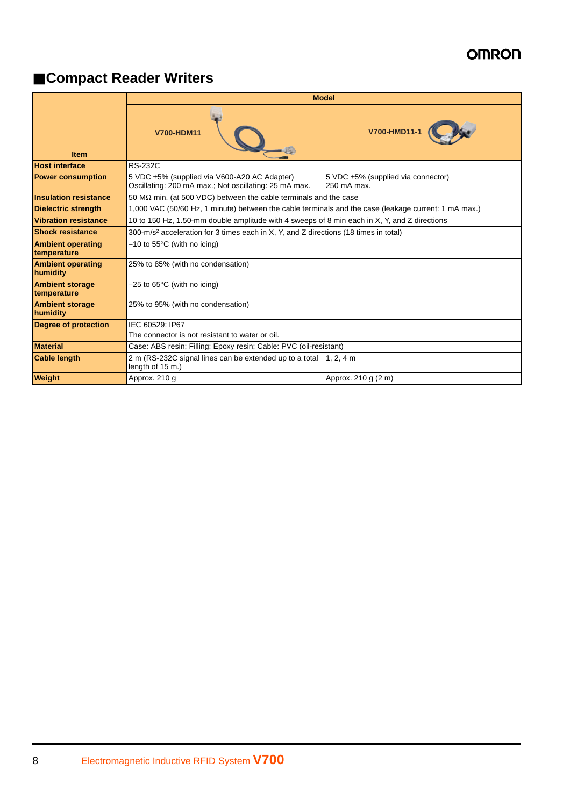### ■ **Compact Reader Writers**

|                                         | <b>Model</b>                                                                                          |                                                   |  |
|-----------------------------------------|-------------------------------------------------------------------------------------------------------|---------------------------------------------------|--|
| <b>Item</b>                             | <b>V700-HDM11</b>                                                                                     | V700-HMD11-1                                      |  |
| <b>Host interface</b>                   | <b>RS-232C</b>                                                                                        |                                                   |  |
| <b>Power consumption</b>                | 5 VDC ±5% (supplied via V600-A20 AC Adapter)<br>Oscillating: 200 mA max.; Not oscillating: 25 mA max. | 5 VDC ±5% (supplied via connector)<br>250 mA max. |  |
| <b>Insulation resistance</b>            | 50 M $\Omega$ min. (at 500 VDC) between the cable terminals and the case                              |                                                   |  |
| <b>Dielectric strength</b>              | 1,000 VAC (50/60 Hz, 1 minute) between the cable terminals and the case (leakage current: 1 mA max.)  |                                                   |  |
| <b>Vibration resistance</b>             | 10 to 150 Hz, 1.50-mm double amplitude with 4 sweeps of 8 min each in X, Y, and Z directions          |                                                   |  |
| <b>Shock resistance</b>                 | 300-m/s <sup>2</sup> acceleration for 3 times each in X, Y, and Z directions (18 times in total)      |                                                   |  |
| <b>Ambient operating</b><br>temperature | $-10$ to 55 $\degree$ C (with no icing)                                                               |                                                   |  |
| <b>Ambient operating</b><br>humidity    | 25% to 85% (with no condensation)                                                                     |                                                   |  |
| <b>Ambient storage</b><br>temperature   | $-25$ to 65°C (with no icing)                                                                         |                                                   |  |
| <b>Ambient storage</b><br>humidity      | 25% to 95% (with no condensation)                                                                     |                                                   |  |
| Degree of protection                    | IEC 60529: IP67                                                                                       |                                                   |  |
|                                         | The connector is not resistant to water or oil.                                                       |                                                   |  |
| <b>Material</b>                         | Case: ABS resin; Filling: Epoxy resin; Cable: PVC (oil-resistant)                                     |                                                   |  |
| <b>Cable length</b>                     | 2 m (RS-232C signal lines can be extended up to a total<br>length of 15 m.)                           | $1, 2, 4$ m                                       |  |
| <b>Weight</b>                           | Approx. 210 g                                                                                         | Approx. 210 g (2 m)                               |  |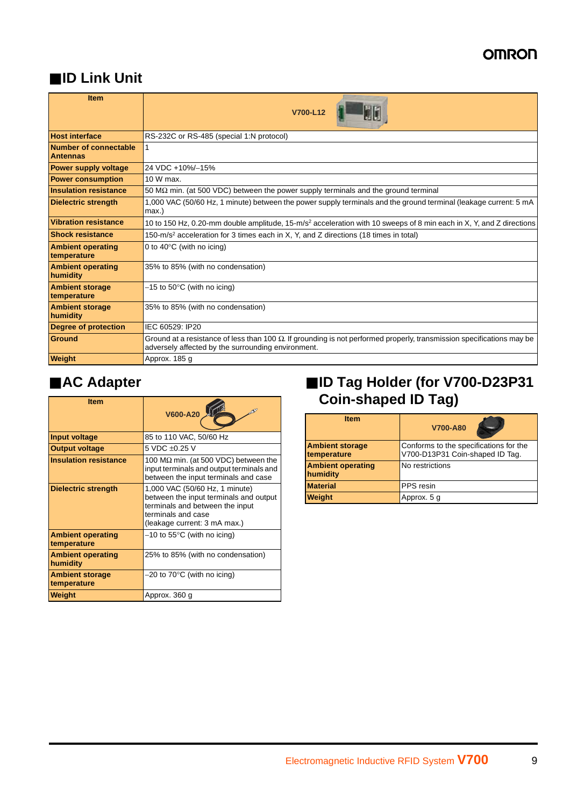### ■ **ID Link Unit**

| <b>Item</b>                              | V700-L12                                                                                                                                                                    |  |  |
|------------------------------------------|-----------------------------------------------------------------------------------------------------------------------------------------------------------------------------|--|--|
| <b>Host interface</b>                    | RS-232C or RS-485 (special 1:N protocol)                                                                                                                                    |  |  |
| Number of connectable<br><b>Antennas</b> |                                                                                                                                                                             |  |  |
| Power supply voltage                     | 24 VDC +10%/-15%                                                                                                                                                            |  |  |
| <b>Power consumption</b>                 | 10 W max.                                                                                                                                                                   |  |  |
| <b>Insulation resistance</b>             | 50 M $\Omega$ min. (at 500 VDC) between the power supply terminals and the ground terminal                                                                                  |  |  |
| <b>Dielectric strength</b>               | 1,000 VAC (50/60 Hz, 1 minute) between the power supply terminals and the ground terminal (leakage current: 5 mA<br>max.)                                                   |  |  |
| <b>Vibration resistance</b>              | 10 to 150 Hz, 0.20-mm double amplitude, 15-m/s <sup>2</sup> acceleration with 10 sweeps of 8 min each in X, Y, and Z directions                                             |  |  |
| <b>Shock resistance</b>                  | 150-m/s <sup>2</sup> acceleration for 3 times each in X, Y, and Z directions (18 times in total)                                                                            |  |  |
| <b>Ambient operating</b><br>temperature  | 0 to 40 $\degree$ C (with no icing)                                                                                                                                         |  |  |
| <b>Ambient operating</b><br>humidity     | 35% to 85% (with no condensation)                                                                                                                                           |  |  |
| <b>Ambient storage</b><br>temperature    | $-15$ to $50^{\circ}$ C (with no icing)                                                                                                                                     |  |  |
| <b>Ambient storage</b><br>humidity       | 35% to 85% (with no condensation)                                                                                                                                           |  |  |
| <b>Degree of protection</b>              | IEC 60529: IP20                                                                                                                                                             |  |  |
| Ground                                   | Ground at a resistance of less than 100 Ω. If grounding is not performed properly, transmission specifications may be<br>adversely affected by the surrounding environment. |  |  |
| <b>Weight</b>                            | Approx. 185 g                                                                                                                                                               |  |  |

| <b>Item</b>                             |                                                                                                                                                                   | Coin-s                               |  |
|-----------------------------------------|-------------------------------------------------------------------------------------------------------------------------------------------------------------------|--------------------------------------|--|
|                                         | V600-A20                                                                                                                                                          | <b>Item</b>                          |  |
| Input voltage                           | 85 to 110 VAC, 50/60 Hz                                                                                                                                           |                                      |  |
| <b>Output voltage</b>                   | 5 VDC ±0.25 V                                                                                                                                                     | <b>Ambient storag</b><br>temperature |  |
| <b>Insulation resistance</b>            | 100 M $\Omega$ min. (at 500 VDC) between the<br>input terminals and output terminals and<br>between the input terminals and case                                  | <b>Ambient opera</b><br>humidity     |  |
| <b>Dielectric strength</b>              | 1,000 VAC (50/60 Hz, 1 minute)<br>between the input terminals and output<br>terminals and between the input<br>terminals and case<br>(leakage current: 3 mA max.) | <b>Material</b><br>Weight            |  |
| <b>Ambient operating</b><br>temperature | $-10$ to 55 $\degree$ C (with no icing)                                                                                                                           |                                      |  |
| <b>Ambient operating</b><br>humidity    | 25% to 85% (with no condensation)                                                                                                                                 |                                      |  |
| <b>Ambient storage</b><br>temperature   | $-20$ to 70 $\degree$ C (with no icing)                                                                                                                           |                                      |  |
| <b>Weight</b>                           | Approx. 360 g                                                                                                                                                     |                                      |  |

### ■ **AC Adapter** ■ **ID Tag Holder (for V700-D23P31 Coin-shaped ID Tag)**

| <b>Item</b>                           | V700-A80                                                                  |  |
|---------------------------------------|---------------------------------------------------------------------------|--|
| <b>Ambient storage</b><br>temperature | Conforms to the specifications for the<br>V700-D13P31 Coin-shaped ID Tag. |  |
| <b>Ambient operating</b><br>humidity  | No restrictions                                                           |  |
| <b>Material</b>                       | PPS resin                                                                 |  |
| Weight                                | Approx. 5 g                                                               |  |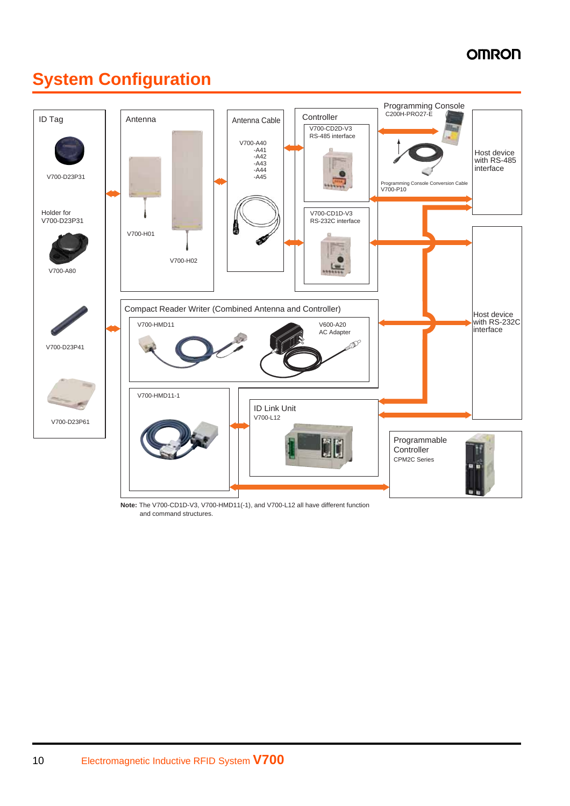### **System Configuration**



**Note:** The V700-CD1D-V3, V700-HMD11(-1), and V700-L12 all have different function and command structures.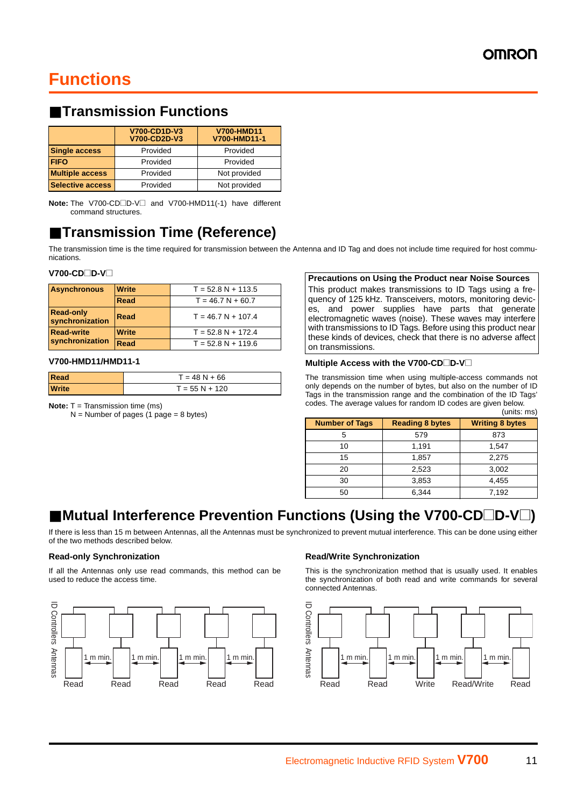### **Functions**

### ■ **Transmission Functions**

|                         | V700-CD1D-V3<br>V700-CD2D-V3 | <b>V700-HMD11</b><br>V700-HMD11-1 |
|-------------------------|------------------------------|-----------------------------------|
| <b>Single access</b>    | Provided                     | Provided                          |
| <b>FIFO</b>             | Provided                     | Provided                          |
| <b>Multiple access</b>  | Provided                     | Not provided                      |
| <b>Selective access</b> | Provided                     | Not provided                      |

**Note:** The V700-CD□D-V□ and V700-HMD11(-1) have different command structures.

### ■ **Transmission Time (Reference)**

The transmission time is the time required for transmission between the Antenna and ID Tag and does not include time required for host communications.

#### **V700-CD**□D-V□

| <b>Asynchronous</b>                 | <b>Write</b> | $T = 52.8 N + 113.5$ |
|-------------------------------------|--------------|----------------------|
|                                     | Read         | $T = 46.7 N + 60.7$  |
| <b>Read-only</b><br>synchronization | Read         | $T = 46.7 N + 107.4$ |
| <b>Read-write</b>                   | <b>Write</b> | $T = 52.8 N + 172.4$ |
| synchronization                     | <b>Read</b>  | $T = 52.8 N + 119.6$ |

#### **V700-HMD11/HMD11-1**

| Read         | $T = 48 N + 66$  |
|--------------|------------------|
| <b>Write</b> | $T = 55 N + 120$ |

**Note:** T = Transmission time (ms)

 $N =$  Number of pages (1 page = 8 bytes)

#### **Precautions on Using the Product near Noise Sources**

This product makes transmissions to ID Tags using a frequency of 125 kHz. Transceivers, motors, monitoring devices, and power supplies have parts that generate electromagnetic waves (noise). These waves may interfere with transmissions to ID Tags. Before using this product near these kinds of devices, check that there is no adverse affect on transmissions.

#### **Multiple Access with the V700-CD** $\Box$ **D-V** $\Box$

The transmission time when using multiple-access commands not only depends on the number of bytes, but also on the number of ID Tags in the transmission range and the combination of the ID Tags' codes. The average values for random ID codes are given below.

|                       |                        | (units: ms)            |
|-----------------------|------------------------|------------------------|
| <b>Number of Tags</b> | <b>Reading 8 bytes</b> | <b>Writing 8 bytes</b> |
| 5                     | 579                    | 873                    |
| 10                    | 1,191                  | 1,547                  |
| 15                    | 1,857                  | 2,275                  |
| 20                    | 2.523                  | 3,002                  |
| 30                    | 3,853                  | 4,455                  |
| 50                    | 6.344                  | 7.192                  |

### ■ Mutual Interference Prevention Functions (Using the V700-CD□D-V□)

If there is less than 15 m between Antennas, all the Antennas must be synchronized to prevent mutual interference. This can be done using either of the two methods described below.

#### **Read-only Synchronization**

If all the Antennas only use read commands, this method can be used to reduce the access time.



#### **Read/Write Synchronization**

This is the synchronization method that is usually used. It enables the synchronization of both read and write commands for several connected Antennas.

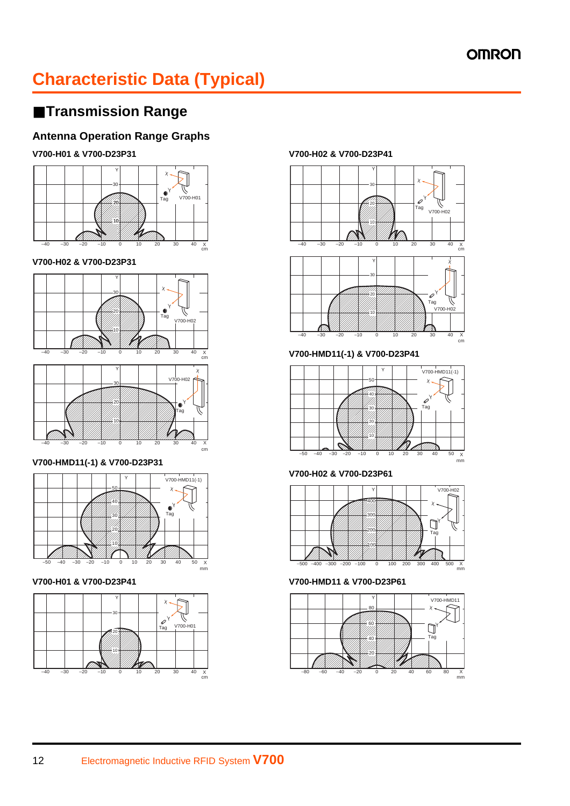### **Characteristic Data (Typical)**

### ■ **Transmission Range**

### **Antenna Operation Range Graphs**

#### **V700-H01 & V700-D23P31**



#### **V700-H02 & V700-D23P31**



#### **V700-HMD11(-1) & V700-D23P31**



**V700-H01 & V700-D23P41**



#### **V700-H02 & V700-D23P41**



**V700-HMD11(-1) & V700-D23P41**



**V700-H02 & V700-D23P61**



**V700-HMD11 & V700-D23P61**

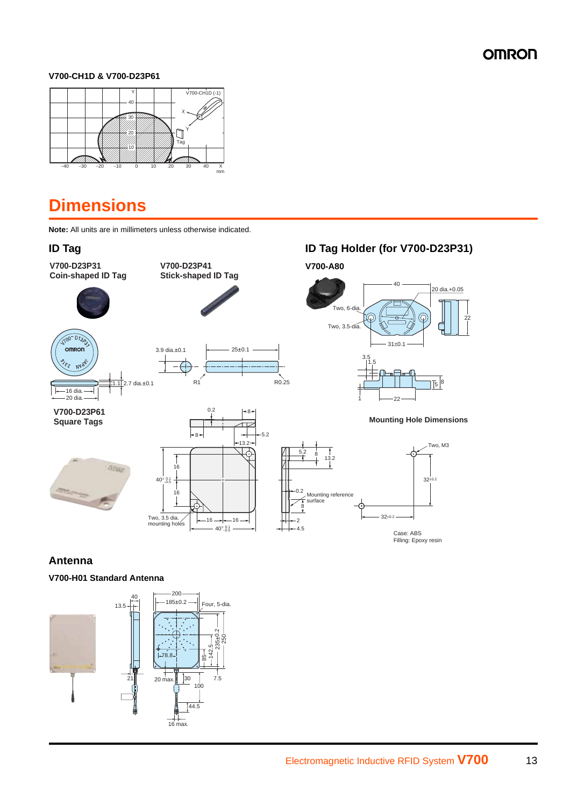#### **V700-CH1D & V700-D23P61**



### **Dimensions**

**Note:** All units are in millimeters unless otherwise indicated.

**V700-D23P31 Coin-shaped ID Tag**



 $-16$  dia. $-$ 20 dia.

omron мY



**V700-D23P41 Stick-shaped ID Tag**

 $\frac{1}{2}$ .7 dia.±0.1 3.9 dia. $\pm 0.1$   $\longrightarrow$  25 $\pm 0.1$  $R1$   $R0.25$ 

0.2

**ID Tag ID Tag Holder (for V700-D23P31)**





8

#### **Antenna**

#### **V700-H01 Standard Antenna**

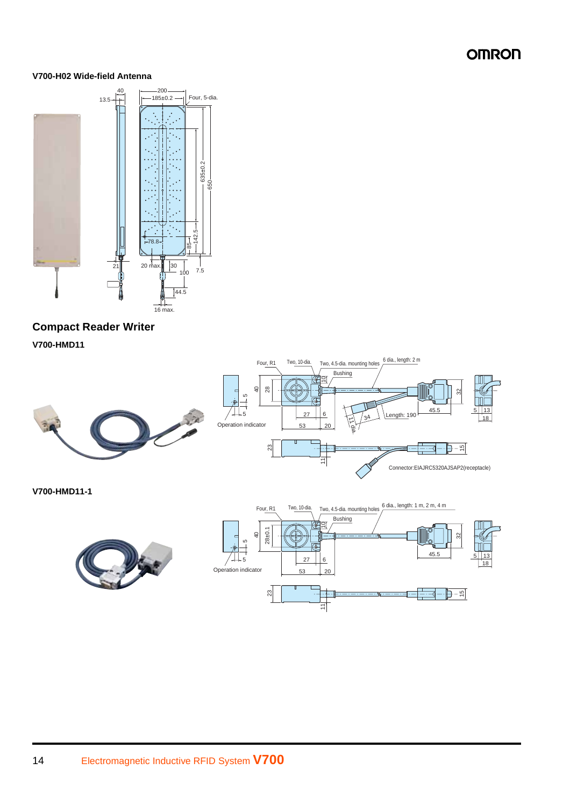#### **V700-H02 Wide-field Antenna**



### **Compact Reader Writer**

**V700-HMD11**



5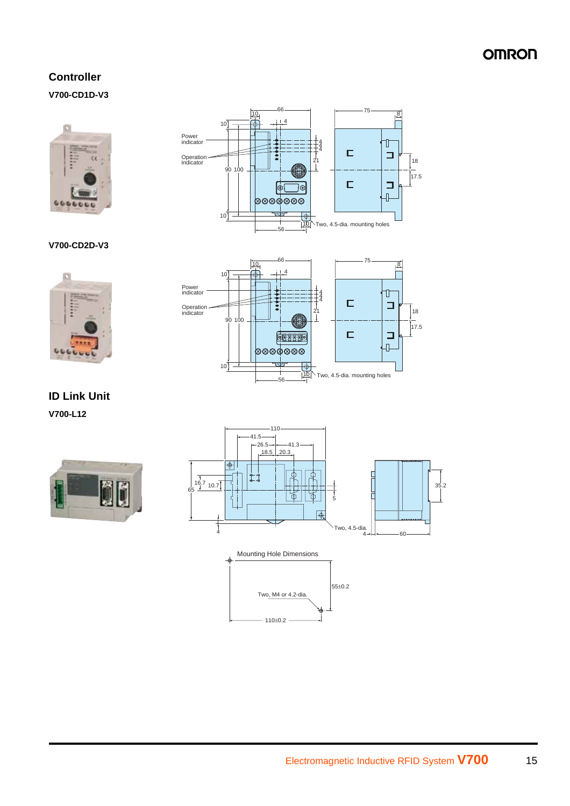### **Controller V700-CD1D-V3**





#### **V700-CD2D-V3**





**ID Link Unit V700-L12**



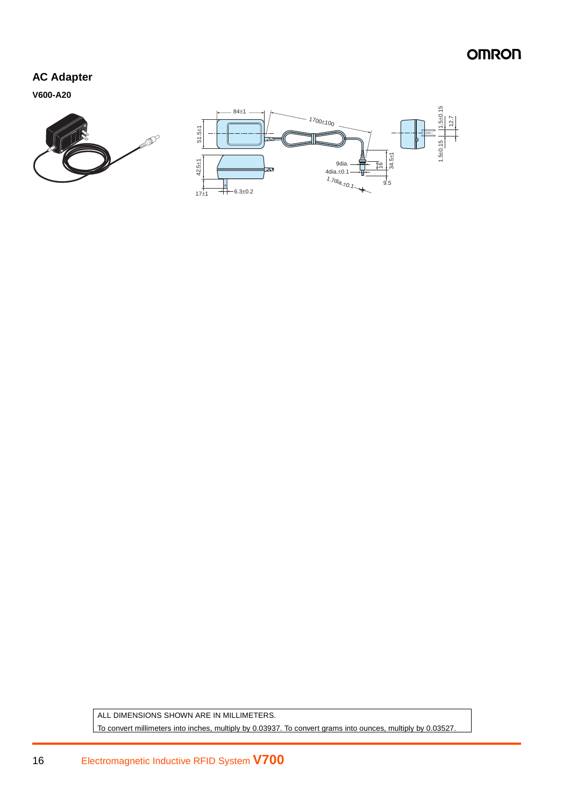#### **AC Adapter**

**V600-A20**





ALL DIMENSIONS SHOWN ARE IN MILLIMETERS. To convert millimeters into inches, multiply by 0.03937. To convert grams into ounces, multiply by 0.03527.